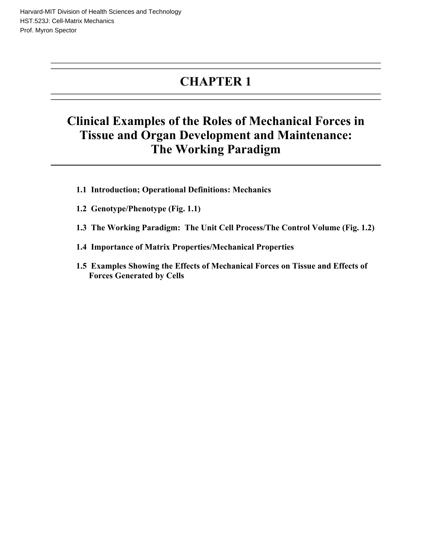# **CHAPTER 1**

# **Clinical Examples of the Roles of Mechanical Forces in Tissue and Organ Development and Maintenance: The Working Paradigm**

- **1.1 Introduction; Operational Definitions: Mechanics**
- **1.2 Genotype/Phenotype (Fig. 1.1)**
- **1.3 The Working Paradigm: The Unit Cell Process/The Control Volume (Fig. 1.2)**
- **1.4 Importance of Matrix Properties/Mechanical Properties**
- **1.5 Examples Showing the Effects of Mechanical Forces on Tissue and Effects of Forces Generated by Cells**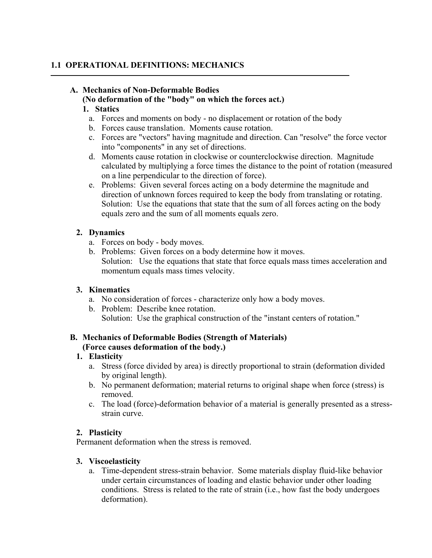#### **1.1 OPERATIONAL DEFINITIONS: MECHANICS**

# **A. Mechanics of Non-Deformable Bodies**

#### **(No deformation of the "body" on which the forces act.)**

#### **1. Statics**

- a. Forces and moments on body no displacement or rotation of the body
- b. Forces cause translation. Moments cause rotation.
- c. Forces are "vectors" having magnitude and direction. Can "resolve" the force vector into "components" in any set of directions.
- d. Moments cause rotation in clockwise or counterclockwise direction. Magnitude calculated by multiplying a force times the distance to the point of rotation (measured on a line perpendicular to the direction of force).
- e. Problems: Given several forces acting on a body determine the magnitude and direction of unknown forces required to keep the body from translating or rotating. Solution: Use the equations that state that the sum of all forces acting on the body equals zero and the sum of all moments equals zero.

#### **2. Dynamics**

- a. Forces on body body moves.
- b. Problems: Given forces on a body determine how it moves. Solution: Use the equations that state that force equals mass times acceleration and momentum equals mass times velocity.

### **3. Kinematics**

- a. No consideration of forces characterize only how a body moves.
- b. Problem: Describe knee rotation.
	- Solution: Use the graphical construction of the "instant centers of rotation."

# **B. Mechanics of Deformable Bodies (Strength of Materials)**

### **(Force causes deformation of the body.)**

### **1. Elasticity**

- a. Stress (force divided by area) is directly proportional to strain (deformation divided by original length).
- b. No permanent deformation; material returns to original shape when force (stress) is removed.
- c. The load (force)-deformation behavior of a material is generally presented as a stressstrain curve.

### **2. Plasticity**

Permanent deformation when the stress is removed.

#### **3. Viscoelasticity**

a. Time-dependent stress-strain behavior. Some materials display fluid-like behavior under certain circumstances of loading and elastic behavior under other loading conditions. Stress is related to the rate of strain (i.e., how fast the body undergoes deformation).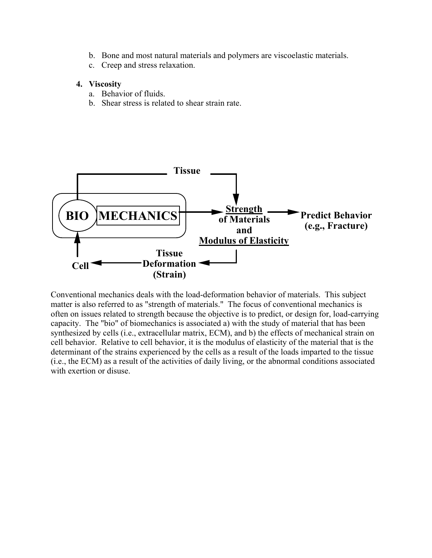- b. Bone and most natural materials and polymers are viscoelastic materials.
- c. Creep and stress relaxation.

#### **4. Viscosity**

- a. Behavior of fluids.
- b. Shear stress is related to shear strain rate.



Conventional mechanics deals with the load-deformation behavior of materials. This subject matter is also referred to as "strength of materials." The focus of conventional mechanics is often on issues related to strength because the objective is to predict, or design for, load-carrying capacity. The "bio" of biomechanics is associated a) with the study of material that has been synthesized by cells (i.e., extracellular matrix, ECM), and b) the effects of mechanical strain on cell behavior. Relative to cell behavior, it is the modulus of elasticity of the material that is the determinant of the strains experienced by the cells as a result of the loads imparted to the tissue (i.e., the ECM) as a result of the activities of daily living, or the abnormal conditions associated with exertion or disuse.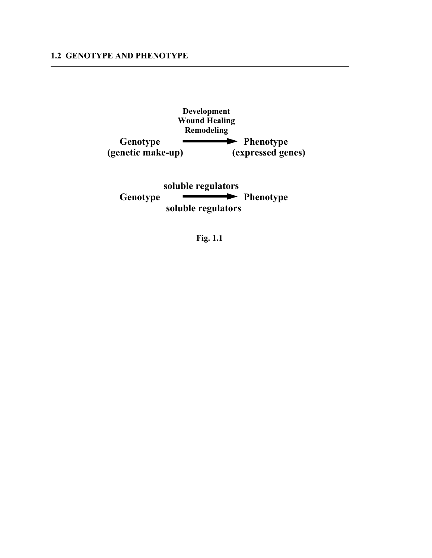

**soluble regulators**  Genotype **Phenotype soluble regulators** 

**Fig. 1.1**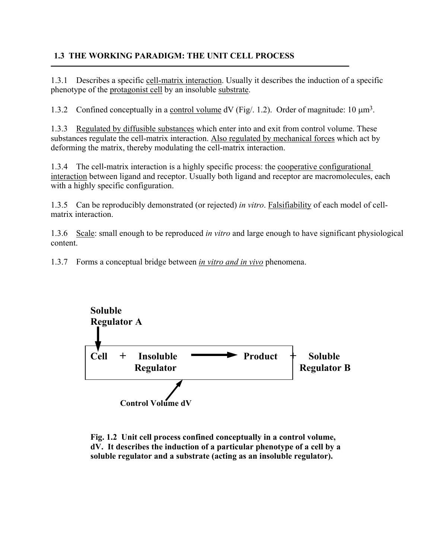### **1.3 THE WORKING PARADIGM: THE UNIT CELL PROCESS**

1.3.1 Describes a specific cell-matrix interaction. Usually it describes the induction of a specific phenotype of the protagonist cell by an insoluble substrate.

1.3.2 Confined conceptually in a control volume  $dV$  (Fig. 1.2). Order of magnitude: 10  $\mu$ m<sup>3</sup>.

1.3.3 Regulated by diffusible substances which enter into and exit from control volume. These substances regulate the cell-matrix interaction. Also regulated by mechanical forces which act by deforming the matrix, thereby modulating the cell-matrix interaction.

1.3.4 The cell-matrix interaction is a highly specific process: the cooperative configurational interaction between ligand and receptor. Usually both ligand and receptor are macromolecules, each with a highly specific configuration.

1.3.5 Can be reproducibly demonstrated (or rejected) *in vitro*. Falsifiability of each model of cellmatrix interaction.

1.3.6 Scale: small enough to be reproduced *in vitro* and large enough to have significant physiological content.

1.3.7 Forms a conceptual bridge between *in vitro and in vivo* phenomena.



**Fig. 1.2 Unit cell process confined conceptually in a control volume, dV. It describes the induction of a particular phenotype of a cell by a soluble regulator and a substrate (acting as an insoluble regulator).**